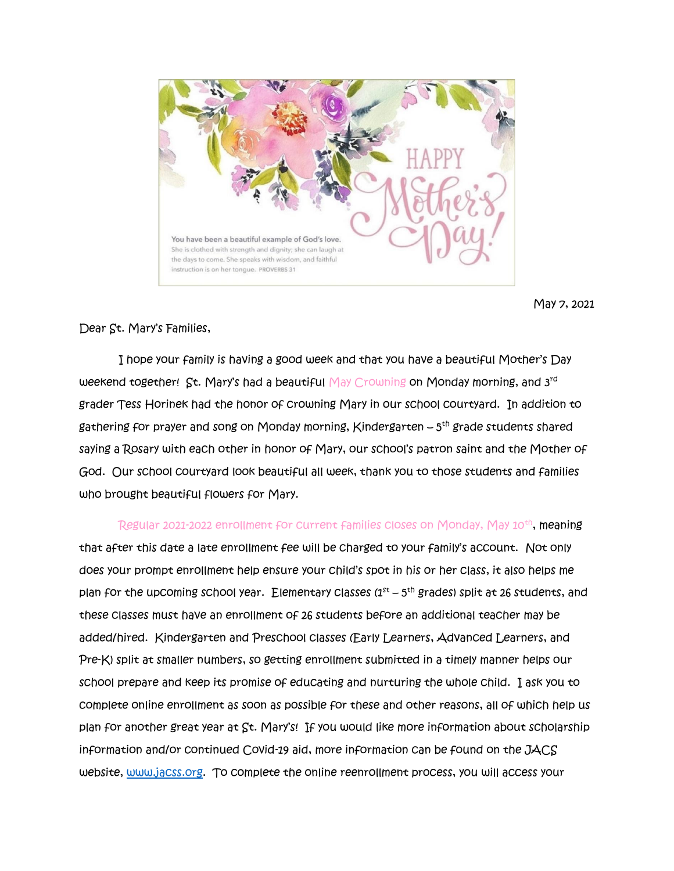

May 7, 2021

Dear St. Mary's Families,

I hope your family is having a good week and that you have a beautiful Mother's Day weekend together! St. Mary's had a beautiful May Crowning on Monday morning, and 3rd grader Tess Horinek had the honor of crowning Mary in our school courtyard. In addition to gathering for prayer and song on Monday morning, Kindergarten – 5 th grade students shared saying a Rosary with each other in honor of Mary, our school's patron saint and the Mother of God. Our school courtyard look beautiful all week, thank you to those students and families who brought beautiful flowers for Mary.

Regular 2021-2022 enrollment for current families closes on Monday, May 10<sup>th</sup>**, meaning** that after this date a late enrollment fee will be charged to your family's account. Not only does your prompt enrollment help ensure your child's spot in his or her class, it also helps me plan for the upcoming school year. Elementary classes (1st – 5<sup>th</sup> grades) split at 26 students, and these classes must have an enrollment of 26 students before an additional teacher may be added/hired. Kindergarten and Preschool classes (Early Learners, Advanced Learners, and Pre-K) split at smaller numbers, so getting enrollment submitted in a timely manner helps our school prepare and keep its promise of educating and nurturing the whole child. I ask you to complete online enrollment as soon as possible for these and other reasons, all of which help us plan for another great year at St. Mary's! If you would like more information about scholarship information and/or continued Covid-19 aid, more information can be found on the JACS website, [www.jacss.org.](http://www.jacss.org/) To complete the online reenrollment process, you will access your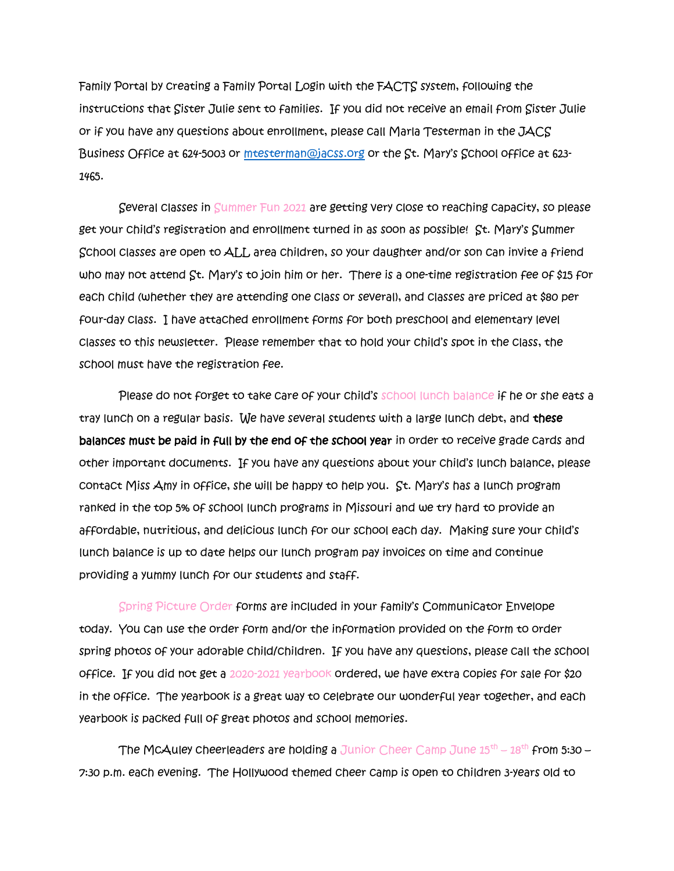Family Portal by creating a Family Portal Login with the FACTS system, following the instructions that Sister Julie sent to families. If you did not receive an email from Sister Julie or if you have any questions about enrollment, please call Marla Testerman in the JACS Business Office at 624-5003 or [mtesterman@jacss.org](mailto:mtesterman@jacss.org) or the St. Mary's School office at 623-1465.

Several classes in Summer Fun 2021 are getting very close to reaching capacity, so please get your child's registration and enrollment turned in as soon as possible! St. Mary's Summer School classes are open to ALL area children, so your daughter and/or son can invite a friend who may not attend St. Mary's to join him or her. There is a one-time registration fee of \$15 for each child (whether they are attending one class or several), and classes are priced at \$80 per four-day class. I have attached enrollment forms for both preschool and elementary level classes to this newsletter. Please remember that to hold your child's spot in the class, the school must have the registration fee.

Please do not forget to take care of your child's school lunch balance if he or she eats a tray lunch on a regular basis. We have several students with a large lunch debt, and these balances must be paid in full by the end of the school year in order to receive grade cards and other important documents. If you have any questions about your child's lunch balance, please contact Miss Amy in office, she will be happy to help you. St. Mary's has a lunch program ranked in the top 5% of school lunch programs in Missouri and we try hard to provide an affordable, nutritious, and delicious lunch for our school each day. Making sure your child's lunch balance is up to date helps our lunch program pay invoices on time and continue providing a yummy lunch for our students and staff.

Spring Picture Order forms are included in your family's Communicator Envelope today. You can use the order form and/or the information provided on the form to order spring photos of your adorable child/children. If you have any questions, please call the school office. If you did not get a 2020-2021 yearbook ordered, we have extra copies for sale for \$20 in the office. The yearbook is a great way to celebrate our wonderful year together, and each yearbook is packed full of great photos and school memories.

The McAuley cheerleaders are holding a Junior Cheer Camp June  $15^{\text{th}}$  –  $18^{\text{th}}$  from 5:30 – 7:30 p.m. each evening. The Hollywood themed cheer camp is open to children 3-years old to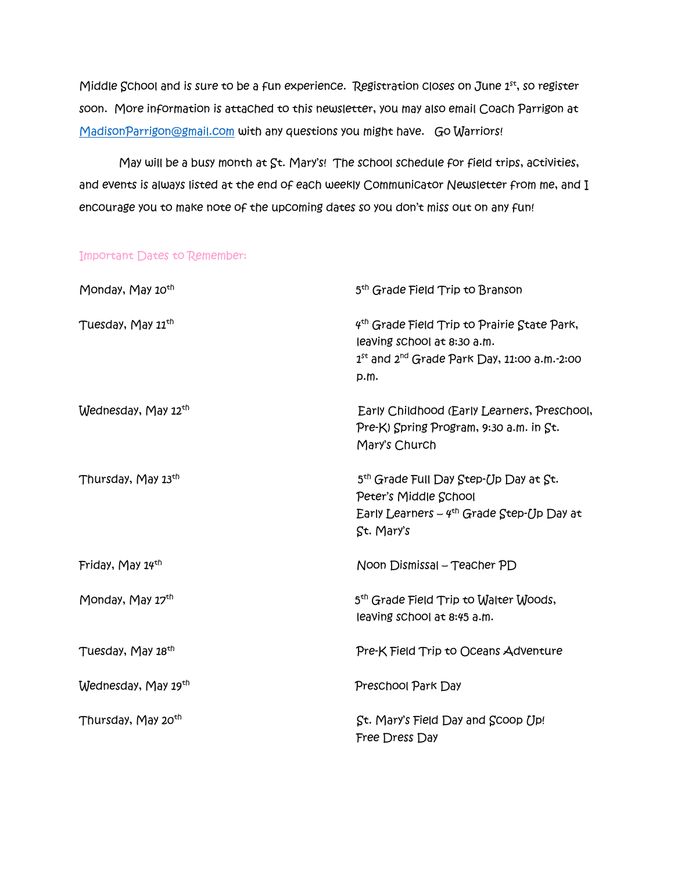Middle School and is sure to be a fun experience. Registration closes on June  $1<sup>st</sup>$ , so register soon. More information is attached to this newsletter, you may also email Coach Parrigon at [MadisonParrigon@gmail.com](mailto:MadisonParrigon@gmail.com) with any questions you might have. Go Warriors!

May will be a busy month at St. Mary's! The school schedule for field trips, activities, and events is always listed at the end of each weekly Communicator Newsletter from me, and I encourage you to make note of the upcoming dates so you don't miss out on any fun!

## Important Dates to Remember:

| Monday, May 10 <sup>th</sup>   | 5 <sup>th</sup> Grade Field Trip to Branson                                                                                                             |
|--------------------------------|---------------------------------------------------------------------------------------------------------------------------------------------------------|
| Tuesday, May 11 <sup>th</sup>  | 4 <sup>th</sup> Grade Field Trip to Prairie State Park,<br>leaving school at 8:30 a.m.<br>$1^{st}$ and $2^{nd}$ Grade Park Day, 11:00 a.m.-2:00<br>p.m. |
| Wednesday, May 12th            | Early Childhood (Early Learners, Preschool,<br>Pre-K) Spring Program, 9:30 a.m. in St.<br>Mary's Church                                                 |
| Thursday, May 13th             | 5 <sup>th</sup> Grade Full Day Step-Up Day at St.<br>Peter's Middle School<br>Early Learners $-$ 4 <sup>th</sup> Grade Step-Up Day at<br>St. Mary's     |
| Friday, May 14 <sup>th</sup>   | Noon Dismissal – Teacher PD                                                                                                                             |
| Monday, May 17th               | 5 <sup>th</sup> Grade Field Trip to Walter Woods,<br>leaving school at 8:45 a.m.                                                                        |
| Tuesday, May 18 <sup>th</sup>  | Pre-K Field Trip to Oceans Adventure                                                                                                                    |
| Wednesday, May 19th            | Preschool Park Day                                                                                                                                      |
| Thursday, May 20 <sup>th</sup> | St. Mary's Field Day and Scoop Up!<br>Free Dress Day                                                                                                    |